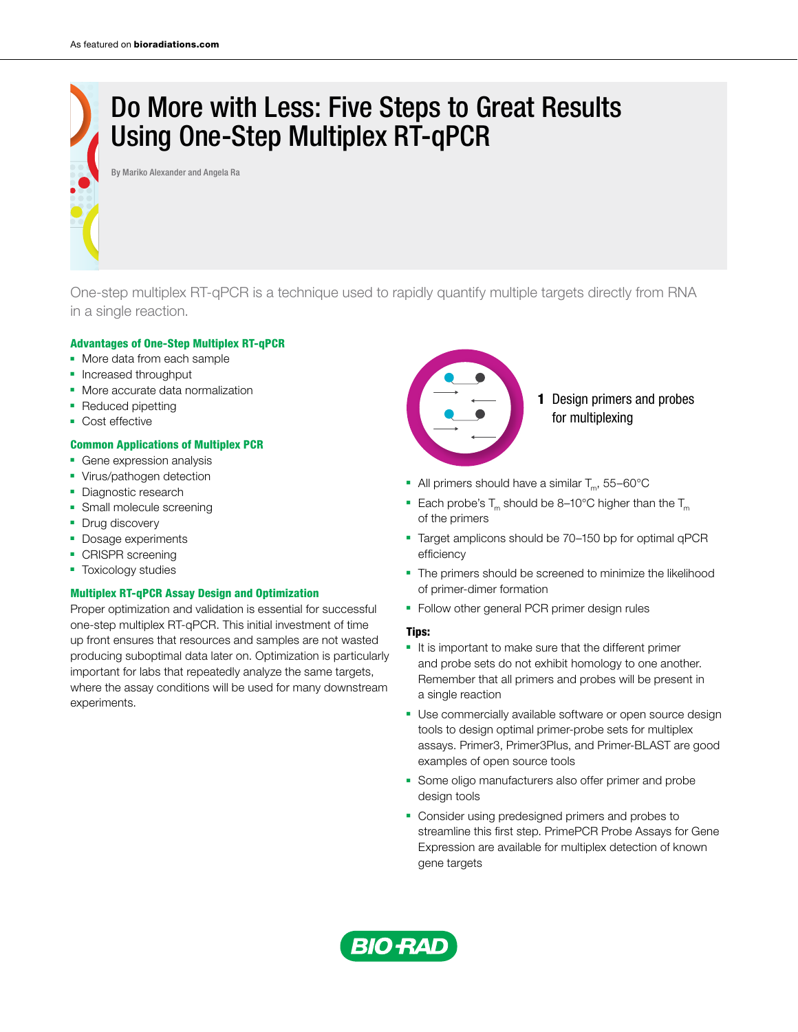# Do More with Less: Five Steps to Great Results Using One-Step Multiplex RT-qPCR

By Mariko Alexander and Angela Ra

One-step multiplex RT-qPCR is a technique used to rapidly quantify multiple targets directly from RNA in a single reaction.

#### Advantages of One-Step Multiplex RT-qPCR

- More data from each sample
- Increased throughput
- More accurate data normalization
- Reduced pipetting
- Cost effective

### Common Applications of Multiplex PCR

- Gene expression analysis
- Virus/pathogen detection
- Diagnostic research
- Small molecule screening
- Drug discovery
- Dosage experiments
- CRISPR screening
- Toxicology studies

### Multiplex RT-qPCR Assay Design and Optimization

Proper optimization and validation is essential for successful one-step multiplex RT-qPCR. This initial investment of time up front ensures that resources and samples are not wasted producing suboptimal data later on. Optimization is particularly important for labs that repeatedly analyze the same targets, where the assay conditions will be used for many downstream experiments.



- All primers should have a similar  $T_m$ , 55–60 $^{\circ}$ C
- Each probe's  $T_m$  should be 8–10°C higher than the  $T_m$ of the primers
- Target amplicons should be 70-150 bp for optimal qPCR efficiency
- The primers should be screened to minimize the likelihood of primer-dimer formation
- Follow other general PCR primer design rules

### Tips:

- It is important to make sure that the different primer and probe sets do not exhibit homology to one another. Remember that all primers and probes will be present in a single reaction
- Use commercially available software or open source design tools to design optimal primer-probe sets for multiplex assays. Primer3, Primer3Plus, and Primer-BLAST are good examples of open source tools
- Some oligo manufacturers also offer primer and probe design tools
- Consider using predesigned primers and probes to streamline this first step. PrimePCR Probe Assays for Gene Expression are available for multiplex detection of known gene targets

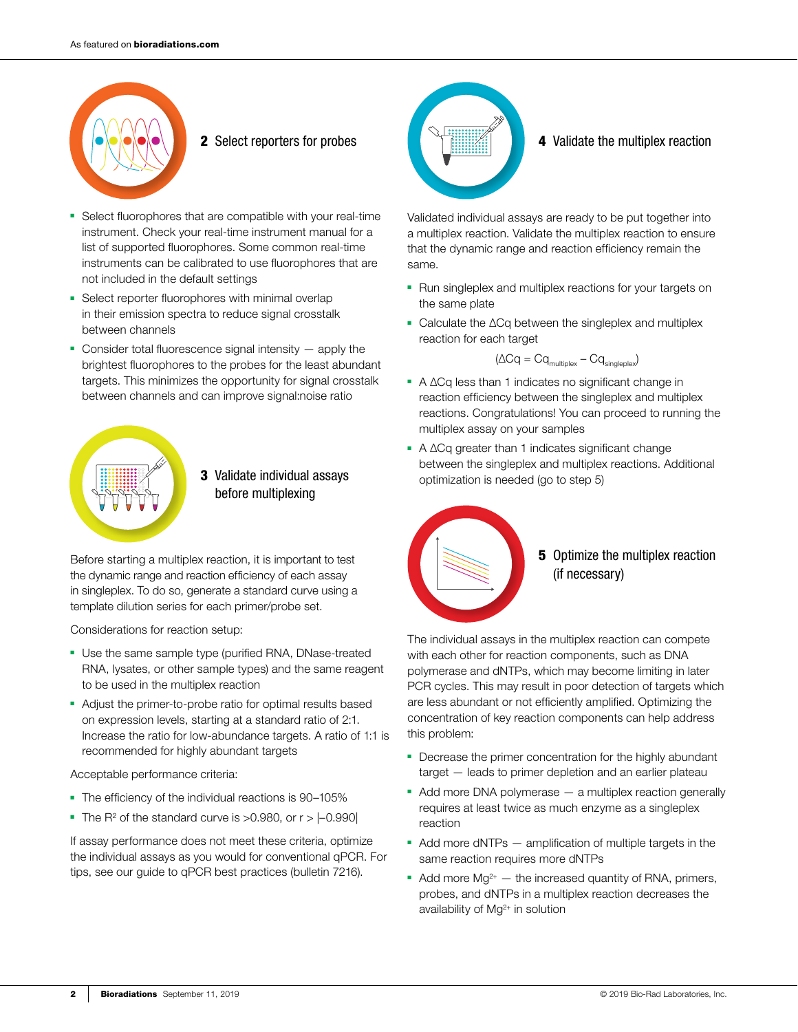

- 
- Select fluorophores that are compatible with your real-time instrument. Check your real-time instrument manual for a list of supported fluorophores. Some common real-time instruments can be calibrated to use fluorophores that are not included in the default settings
- Select reporter fluorophores with minimal overlap in their emission spectra to reduce signal crosstalk between channels
- $\blacksquare$  Consider total fluorescence signal intensity  $-$  apply the brightest fluorophores to the probes for the least abundant targets. This minimizes the opportunity for signal crosstalk between channels and can improve signal:noise ratio



## 3 Validate individual assays before multiplexing

Before starting a multiplex reaction, it is important to test the dynamic range and reaction efficiency of each assay in singleplex. To do so, generate a standard curve using a template dilution series for each primer/probe set.

Considerations for reaction setup:

- Use the same sample type (purified RNA, DNase-treated RNA, lysates, or other sample types) and the same reagent to be used in the multiplex reaction
- Adjust the primer-to-probe ratio for optimal results based on expression levels, starting at a standard ratio of 2:1. Increase the ratio for low-abundance targets. A ratio of 1:1 is recommended for highly abundant targets

Acceptable performance criteria:

- The efficiency of the individual reactions is 90–105%
- The  $R^2$  of the standard curve is >0.980, or  $r > |-0.990|$

If assay performance does not meet these criteria, optimize the individual assays as you would for conventional qPCR. For tips, see our guide to qPCR best practices (bulletin 7216).



**2** Select reporters for probes **4 4** Validate the multiplex reaction

Validated individual assays are ready to be put together into a multiplex reaction. Validate the multiplex reaction to ensure that the dynamic range and reaction efficiency remain the same.

- Run singleplex and multiplex reactions for your targets on the same plate
- Calculate the  $\Delta$ Cq between the singleplex and multiplex reaction for each target

 $(\Delta Cq = Cq_{\text{multiplex}} - Cq_{\text{singleplex}})$ 

- $\blacksquare$  A  $\Delta$ Cq less than 1 indicates no significant change in reaction efficiency between the singleplex and multiplex reactions. Congratulations! You can proceed to running the multiplex assay on your samples
- $\blacksquare$  A  $\triangle$ Cq greater than 1 indicates significant change between the singleplex and multiplex reactions. Additional optimization is needed (go to step 5)



**5** Optimize the multiplex reaction (if necessary)

The individual assays in the multiplex reaction can compete with each other for reaction components, such as DNA polymerase and dNTPs, which may become limiting in later PCR cycles. This may result in poor detection of targets which are less abundant or not efficiently amplified. Optimizing the concentration of key reaction components can help address this problem:

- Decrease the primer concentration for the highly abundant target — leads to primer depletion and an earlier plateau
- Add more DNA polymerase a multiplex reaction generally requires at least twice as much enzyme as a singleplex reaction
- Add more dNTPs amplification of multiple targets in the same reaction requires more dNTPs
- $\blacksquare$  Add more Mg<sup>2+</sup>  $\blacksquare$  the increased quantity of RNA, primers, probes, and dNTPs in a multiplex reaction decreases the availability of Mg<sup>2+</sup> in solution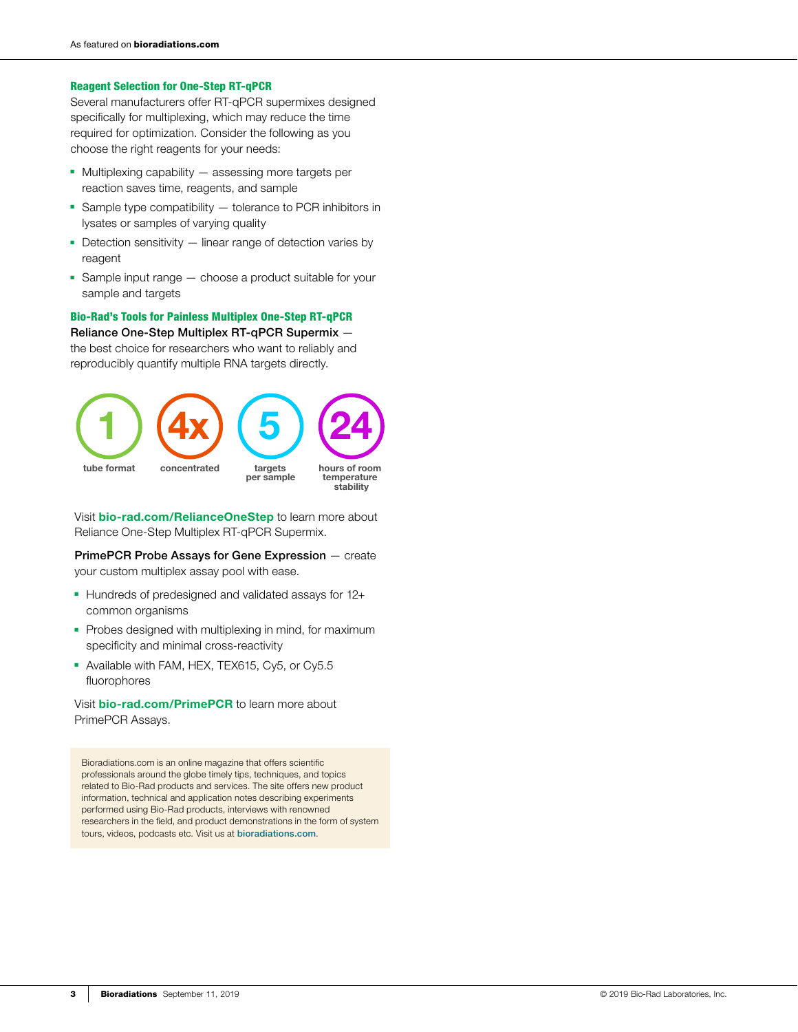### Reagent Selection for One-Step RT-qPCR

Several manufacturers offer RT-qPCR supermixes designed specifically for multiplexing, which may reduce the time required for optimization. Consider the following as you choose the right reagents for your needs:

- Multiplexing capability assessing more targets per reaction saves time, reagents, and sample
- Sample type compatibility tolerance to PCR inhibitors in lysates or samples of varying quality
- Detection sensitivity linear range of detection varies by reagent
- Sample input range choose a product suitable for your sample and targets

Bio-Rad's Tools for Painless Multiplex One-Step RT-qPCR

Reliance One-Step Multiplex RT-qPCR Supermix —

the best choice for researchers who want to reliably and reproducibly quantify multiple RNA targets directly.



Visit [bio-rad.com/RelianceOneStep](http://www.bio-rad.com/RelianceOneStep) to learn more about Reliance One-Step Multiplex RT-qPCR Supermix.

PrimePCR Probe Assays for Gene Expression — create your custom multiplex assay pool with ease.

- Hundreds of predesigned and validated assays for 12+ common organisms
- Probes designed with multiplexing in mind, for maximum specificity and minimal cross-reactivity
- Available with FAM, HEX, TEX615, Cy5, or Cy5.5 fluorophores

Visit **[bio-rad.com/PrimePCR](http://www.bio-rad.com/PrimePCR)** to learn more about PrimePCR Assays.

Bioradiations.com is an online magazine that offers scientific professionals around the globe timely tips, techniques, and topics related to Bio-Rad products and services. The site offers new product information, technical and application notes describing experiments performed using Bio-Rad products, interviews with renowned researchers in the field, and product demonstrations in the form of system tours, videos, podcasts etc. Visit us at [bioradiations.com](http://www.bioradiations.com).